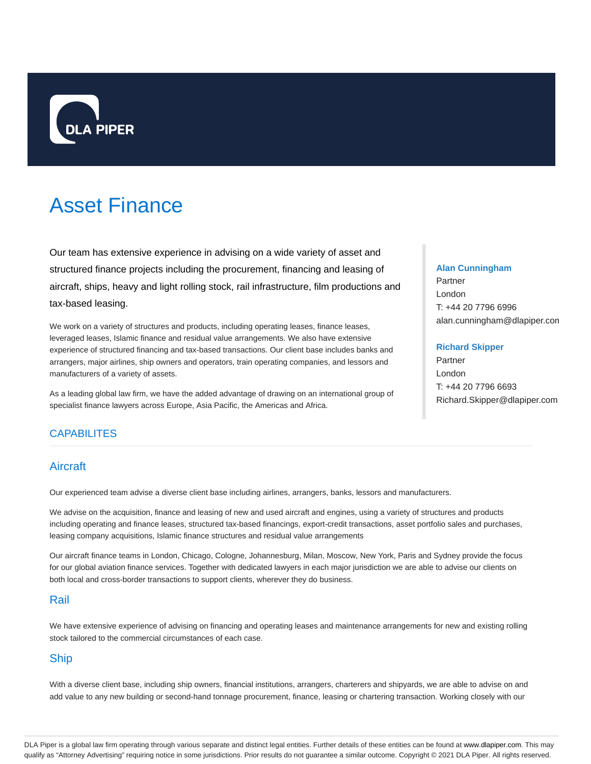

# Asset Finance

Our team has extensive experience in advising on a wide variety of asset and structured finance projects including the procurement, financing and leasing of aircraft, ships, heavy and light rolling stock, rail infrastructure, film productions and tax-based leasing.

We work on a variety of structures and products, including operating leases, finance leases, leveraged leases, Islamic finance and residual value arrangements. We also have extensive experience of structured financing and tax-based transactions. Our client base includes banks and arrangers, major airlines, ship owners and operators, train operating companies, and lessors and manufacturers of a variety of assets.

As a leading global law firm, we have the added advantage of drawing on an international group of specialist finance lawyers across Europe, Asia Pacific, the Americas and Africa.

## **CAPABILITES**

## Aircraft

Our experienced team advise a diverse client base including airlines, arrangers, banks, lessors and manufacturers.

We advise on the acquisition, finance and leasing of new and used aircraft and engines, using a variety of structures and products including operating and finance leases, structured tax-based financings, export-credit transactions, asset portfolio sales and purchases, leasing company acquisitions, Islamic finance structures and residual value arrangements

Our aircraft finance teams in London, Chicago, Cologne, Johannesburg, Milan, Moscow, New York, Paris and Sydney provide the focus for our global aviation finance services. Together with dedicated lawyers in each major jurisdiction we are able to advise our clients on both local and cross-border transactions to support clients, wherever they do business.

## Rail

We have extensive experience of advising on financing and operating leases and maintenance arrangements for new and existing rolling stock tailored to the commercial circumstances of each case.

# Ship

With a diverse client base, including ship owners, financial institutions, arrangers, charterers and shipyards, we are able to advise on and add value to any new building or second-hand tonnage procurement, finance, leasing or chartering transaction. Working closely with our

#### **Alan Cunningham**

Partner London T: +44 20 7796 6996 alan.cunningham@dlapiper.com

#### **Richard Skipper**

Partner London T: +44 20 7796 6693 Richard.Skipper@dlapiper.com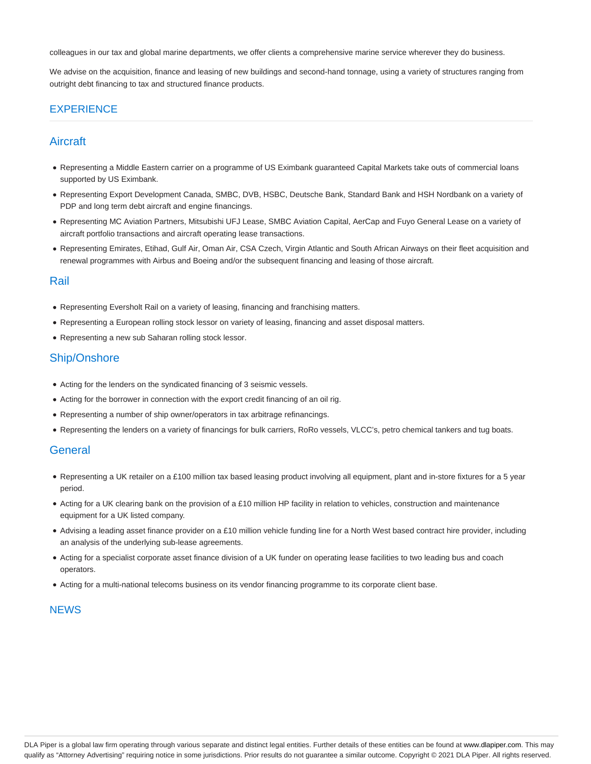colleagues in our tax and global marine departments, we offer clients a comprehensive marine service wherever they do business.

We advise on the acquisition, finance and leasing of new buildings and second-hand tonnage, using a variety of structures ranging from outright debt financing to tax and structured finance products.

#### **EXPERIENCE**

## Aircraft

- Representing a Middle Eastern carrier on a programme of US Eximbank guaranteed Capital Markets take outs of commercial loans supported by US Eximbank.
- Representing Export Development Canada, SMBC, DVB, HSBC, Deutsche Bank, Standard Bank and HSH Nordbank on a variety of PDP and long term debt aircraft and engine financings.
- Representing MC Aviation Partners, Mitsubishi UFJ Lease, SMBC Aviation Capital, AerCap and Fuyo General Lease on a variety of aircraft portfolio transactions and aircraft operating lease transactions.
- Representing Emirates, Etihad, Gulf Air, Oman Air, CSA Czech, Virgin Atlantic and South African Airways on their fleet acquisition and renewal programmes with Airbus and Boeing and/or the subsequent financing and leasing of those aircraft.

#### Rail

- Representing Eversholt Rail on a variety of leasing, financing and franchising matters.
- Representing a European rolling stock lessor on variety of leasing, financing and asset disposal matters.
- Representing a new sub Saharan rolling stock lessor.

## Ship/Onshore

- Acting for the lenders on the syndicated financing of 3 seismic vessels.
- Acting for the borrower in connection with the export credit financing of an oil rig.
- Representing a number of ship owner/operators in tax arbitrage refinancings.
- Representing the lenders on a variety of financings for bulk carriers, RoRo vessels, VLCC's, petro chemical tankers and tug boats.

#### **General**

- Representing a UK retailer on a £100 million tax based leasing product involving all equipment, plant and in-store fixtures for a 5 year period.
- Acting for a UK clearing bank on the provision of a £10 million HP facility in relation to vehicles, construction and maintenance equipment for a UK listed company.
- Advising a leading asset finance provider on a £10 million vehicle funding line for a North West based contract hire provider, including an analysis of the underlying sub-lease agreements.
- Acting for a specialist corporate asset finance division of a UK funder on operating lease facilities to two leading bus and coach operators.
- Acting for a multi-national telecoms business on its vendor financing programme to its corporate client base.

#### **NEWS**